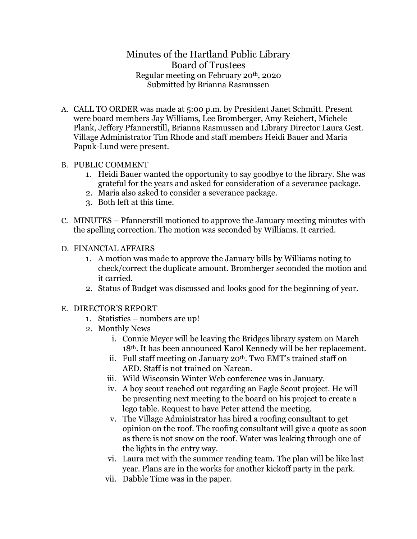## Minutes of the Hartland Public Library Board of Trustees Regular meeting on February 20th, 2020 Submitted by Brianna Rasmussen

A. CALL TO ORDER was made at 5:00 p.m. by President Janet Schmitt. Present were board members Jay Williams, Lee Bromberger, Amy Reichert, Michele Plank, Jeffery Pfannerstill, Brianna Rasmussen and Library Director Laura Gest. Village Administrator Tim Rhode and staff members Heidi Bauer and Maria Papuk-Lund were present.

## B. PUBLIC COMMENT

- 1. Heidi Bauer wanted the opportunity to say goodbye to the library. She was grateful for the years and asked for consideration of a severance package.
- 2. Maria also asked to consider a severance package.
- 3. Both left at this time.
- C. MINUTES Pfannerstill motioned to approve the January meeting minutes with the spelling correction. The motion was seconded by Williams. It carried.
- D. FINANCIAL AFFAIRS
	- 1. A motion was made to approve the January bills by Williams noting to check/correct the duplicate amount. Bromberger seconded the motion and it carried.
	- 2. Status of Budget was discussed and looks good for the beginning of year.
- E. DIRECTOR'S REPORT
	- 1. Statistics numbers are up!
	- 2. Monthly News
		- i. Connie Meyer will be leaving the Bridges library system on March 18th. It has been announced Karol Kennedy will be her replacement.
		- ii. Full staff meeting on January  $20<sup>th</sup>$ . Two EMT's trained staff on AED. Staff is not trained on Narcan.
		- iii. Wild Wisconsin Winter Web conference was in January.
		- iv. A boy scout reached out regarding an Eagle Scout project. He will be presenting next meeting to the board on his project to create a lego table. Request to have Peter attend the meeting.
		- v. The Village Administrator has hired a roofing consultant to get opinion on the roof. The roofing consultant will give a quote as soon as there is not snow on the roof. Water was leaking through one of the lights in the entry way.
		- vi. Laura met with the summer reading team. The plan will be like last year. Plans are in the works for another kickoff party in the park.
		- vii. Dabble Time was in the paper.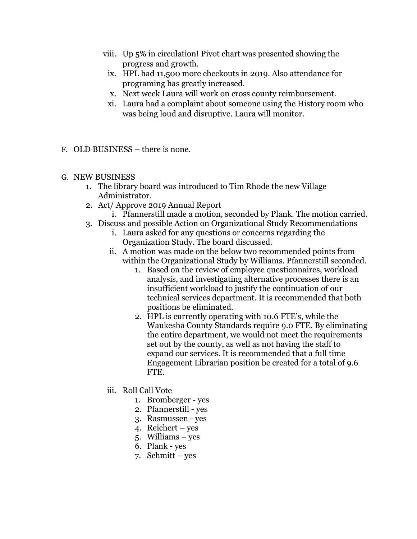- viii. Up 5% in circulation! Pivot chart was presented showing the progress and growth.
- ix. HPL had 11,500 more checkouts in 2019. Also attendance for programing has greatly increased.
- x. Next week Laura will work on cross county reimbursement.
- xi. Laura had a complaint about someone using the History room who was being loud and disruptive. Laura will monitor.
- F. OLD BUSINESS there is none.
- G. NEW BUSINESS
	- 1. The library board was introduced to Tim Rhode the new Village Administrator.
	- 2. Act/ Approve 2019 Annual Report
		- i. Pfannerstill made a motion, seconded by Plank. The motion carried.
	- 3. Discuss and possible Action on Organizational Study Recommendations
		- i. Laura asked for any questions or concerns regarding the Organization Study. The board discussed.
		- ii. A motion was made on the below two recommended points from within the Organizational Study by Williams. Pfannerstill seconded.
			- 1. Based on the review of employee questionnaires, workload analysis, and investigating alternative processes there is an insufficient workload to justify the continuation of our technical services department. It is recommended that both positions be eliminated.
			- 2. HPL is currently operating with 10.6 FTE's, while the Waukesha County Standards require 9.0 FTE. By eliminating the entire department, we would not meet the requirements set out by the county, as well as not having the staff to expand our services. It is recommended that a full time Engagement Librarian position be created for a total of 9.6 FTE.
		- iii. Roll Call Vote
			- 1. Bromberger yes
			- 2. Pfannerstill yes
			- 3. Rasmussen yes
			- 4. Reichert yes
			- 5. Williams yes
			- 6. Plank yes
			- 7. Schmitt yes